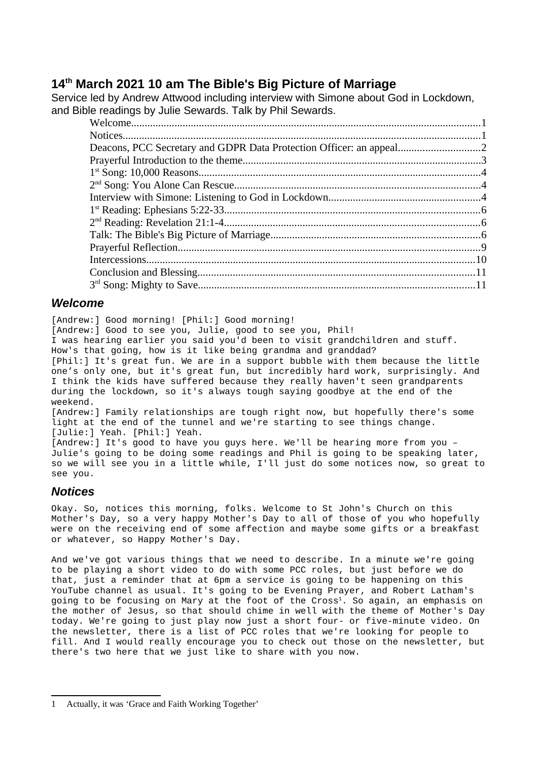# **14th March 2021 10 am The Bible's Big Picture of Marriage**

Service led by Andrew Attwood including interview with Simone about God in Lockdown, and Bible readings by Julie Sewards. Talk by Phil Sewards.

# <span id="page-0-1"></span>*Welcome*

[Andrew:] Good morning! [Phil:] Good morning! [Andrew:] Good to see you, Julie, good to see you, Phil! I was hearing earlier you said you'd been to visit grandchildren and stuff. How's that going, how is it like being grandma and granddad? [Phil:] It's great fun. We are in a support bubble with them because the little one's only one, but it's great fun, but incredibly hard work, surprisingly. And I think the kids have suffered because they really haven't seen grandparents during the lockdown, so it's always tough saying goodbye at the end of the weekend. [Andrew:] Family relationships are tough right now, but hopefully there's some light at the end of the tunnel and we're starting to see things change. [Julie:] Yeah. [Phil:] Yeah. [Andrew:] It's good to have you guys here. We'll be hearing more from you –

Julie's going to be doing some readings and Phil is going to be speaking later, so we will see you in a little while, I'll just do some notices now, so great to see you.

# <span id="page-0-0"></span>*Notices*

Okay. So, notices this morning, folks. Welcome to St John's Church on this Mother's Day, so a very happy Mother's Day to all of those of you who hopefully were on the receiving end of some affection and maybe some gifts or a breakfast or whatever, so Happy Mother's Day.

And we've got various things that we need to describe. In a minute we're going to be playing a short video to do with some PCC roles, but just before we do that, just a reminder that at 6pm a service is going to be happening on this YouTube channel as usual. It's going to be Evening Prayer, and Robert Latham's going to be focusing on Mary at the foot of the Cross<sup>[1](#page-0-2)</sup>. So again, an emphasis on the mother of Jesus, so that should chime in well with the theme of Mother's Day today. We're going to just play now just a short four- or five-minute video. On the newsletter, there is a list of PCC roles that we're looking for people to fill. And I would really encourage you to check out those on the newsletter, but there's two here that we just like to share with you now.

<span id="page-0-2"></span><sup>1</sup> Actually, it was 'Grace and Faith Working Together'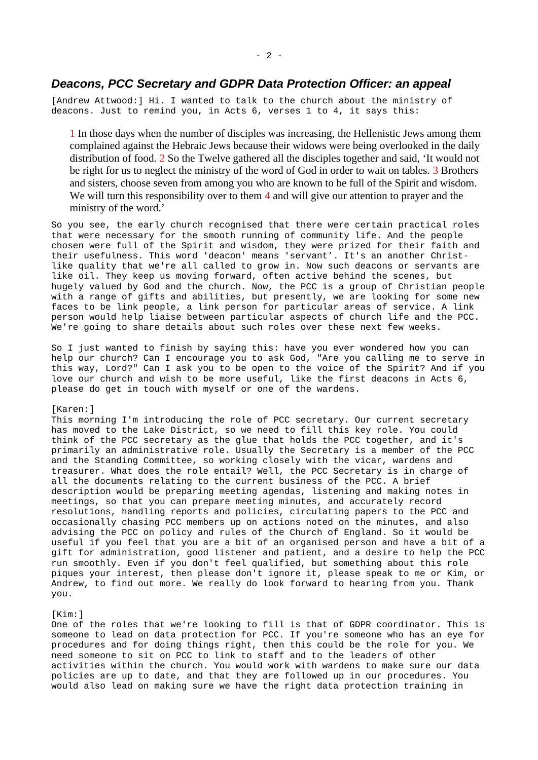### <span id="page-1-0"></span>*Deacons, PCC Secretary and GDPR Data Protection Officer: an appeal*

[Andrew Attwood:] Hi. I wanted to talk to the church about the ministry of deacons. Just to remind you, in Acts 6, verses 1 to 4, it says this:

1 In those days when the number of disciples was increasing, the Hellenistic Jews among them complained against the Hebraic Jews because their widows were being overlooked in the daily distribution of food. 2 So the Twelve gathered all the disciples together and said, 'It would not be right for us to neglect the ministry of the word of God in order to wait on tables. 3 Brothers and sisters, choose seven from among you who are known to be full of the Spirit and wisdom. We will turn this responsibility over to them 4 and will give our attention to prayer and the ministry of the word.'

So you see, the early church recognised that there were certain practical roles that were necessary for the smooth running of community life. And the people chosen were full of the Spirit and wisdom, they were prized for their faith and their usefulness. This word 'deacon' means 'servant'. It's an another Christlike quality that we're all called to grow in. Now such deacons or servants are like oil. They keep us moving forward, often active behind the scenes, but hugely valued by God and the church. Now, the PCC is a group of Christian people with a range of gifts and abilities, but presently, we are looking for some new faces to be link people, a link person for particular areas of service. A link person would help liaise between particular aspects of church life and the PCC. We're going to share details about such roles over these next few weeks.

So I just wanted to finish by saying this: have you ever wondered how you can help our church? Can I encourage you to ask God, "Are you calling me to serve in this way, Lord?" Can I ask you to be open to the voice of the Spirit? And if you love our church and wish to be more useful, like the first deacons in Acts 6, please do get in touch with myself or one of the wardens.

#### [Karen:]

This morning I'm introducing the role of PCC secretary. Our current secretary has moved to the Lake District, so we need to fill this key role. You could think of the PCC secretary as the glue that holds the PCC together, and it's primarily an administrative role. Usually the Secretary is a member of the PCC and the Standing Committee, so working closely with the vicar, wardens and treasurer. What does the role entail? Well, the PCC Secretary is in charge of all the documents relating to the current business of the PCC. A brief description would be preparing meeting agendas, listening and making notes in meetings, so that you can prepare meeting minutes, and accurately record resolutions, handling reports and policies, circulating papers to the PCC and occasionally chasing PCC members up on actions noted on the minutes, and also advising the PCC on policy and rules of the Church of England. So it would be useful if you feel that you are a bit of an organised person and have a bit of a gift for administration, good listener and patient, and a desire to help the PCC run smoothly. Even if you don't feel qualified, but something about this role piques your interest, then please don't ignore it, please speak to me or Kim, or Andrew, to find out more. We really do look forward to hearing from you. Thank you.

#### [Kim:]

One of the roles that we're looking to fill is that of GDPR coordinator. This is someone to lead on data protection for PCC. If you're someone who has an eye for procedures and for doing things right, then this could be the role for you. We need someone to sit on PCC to link to staff and to the leaders of other activities within the church. You would work with wardens to make sure our data policies are up to date, and that they are followed up in our procedures. You would also lead on making sure we have the right data protection training in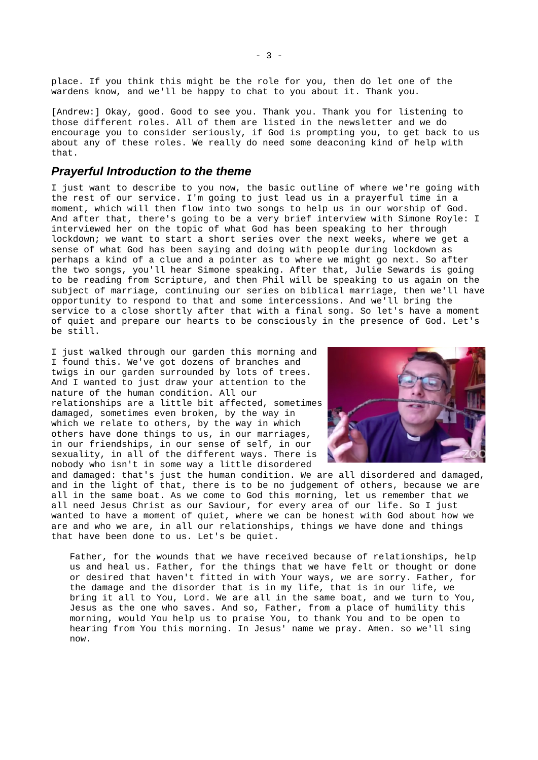place. If you think this might be the role for you, then do let one of the wardens know, and we'll be happy to chat to you about it. Thank you.

[Andrew:] Okay, good. Good to see you. Thank you. Thank you for listening to those different roles. All of them are listed in the newsletter and we do encourage you to consider seriously, if God is prompting you, to get back to us about any of these roles. We really do need some deaconing kind of help with that.

### <span id="page-2-0"></span>*Prayerful Introduction to the theme*

I just want to describe to you now, the basic outline of where we're going with the rest of our service. I'm going to just lead us in a prayerful time in a moment, which will then flow into two songs to help us in our worship of God. And after that, there's going to be a very brief interview with Simone Royle: I interviewed her on the topic of what God has been speaking to her through lockdown; we want to start a short series over the next weeks, where we get a sense of what God has been saying and doing with people during lockdown as perhaps a kind of a clue and a pointer as to where we might go next. So after the two songs, you'll hear Simone speaking. After that, Julie Sewards is going to be reading from Scripture, and then Phil will be speaking to us again on the subject of marriage, continuing our series on biblical marriage, then we'll have opportunity to respond to that and some intercessions. And we'll bring the service to a close shortly after that with a final song. So let's have a moment of quiet and prepare our hearts to be consciously in the presence of God. Let's be still.

I just walked through our garden this morning and I found this. We've got dozens of branches and twigs in our garden surrounded by lots of trees. And I wanted to just draw your attention to the nature of the human condition. All our relationships are a little bit affected, sometimes damaged, sometimes even broken, by the way in which we relate to others, by the way in which others have done things to us, in our marriages, in our friendships, in our sense of self, in our sexuality, in all of the different ways. There is nobody who isn't in some way a little disordered



and damaged: that's just the human condition. We are all disordered and damaged, and in the light of that, there is to be no judgement of others, because we are all in the same boat. As we come to God this morning, let us remember that we all need Jesus Christ as our Saviour, for every area of our life. So I just wanted to have a moment of quiet, where we can be honest with God about how we are and who we are, in all our relationships, things we have done and things that have been done to us. Let's be quiet.

Father, for the wounds that we have received because of relationships, help us and heal us. Father, for the things that we have felt or thought or done or desired that haven't fitted in with Your ways, we are sorry. Father, for the damage and the disorder that is in my life, that is in our life, we bring it all to You, Lord. We are all in the same boat, and we turn to You, Jesus as the one who saves. And so, Father, from a place of humility this morning, would You help us to praise You, to thank You and to be open to hearing from You this morning. In Jesus' name we pray. Amen. so we'll sing now.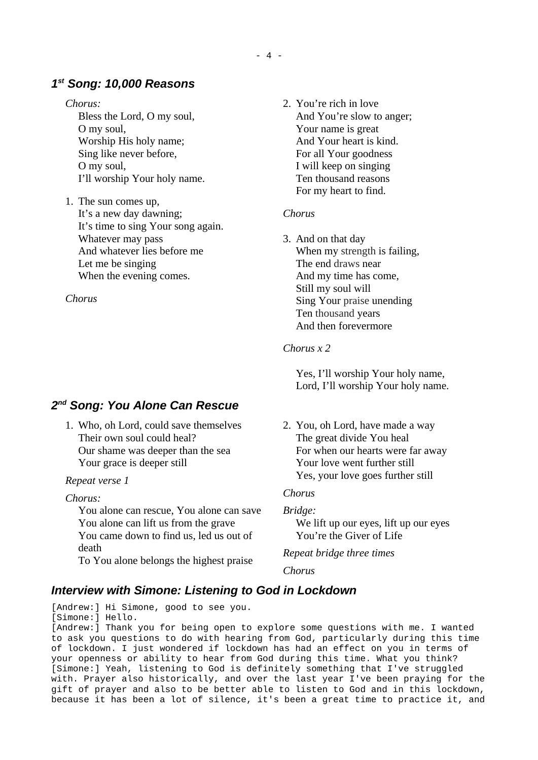# <span id="page-3-2"></span>*1 st Song: 10,000 Reasons*

*Chorus:* Bless the Lord, O my soul, O my soul, Worship His holy name; Sing like never before, O my soul, I'll worship Your holy name.

1. The sun comes up, It's a new day dawning; It's time to sing Your song again. Whatever may pass And whatever lies before me Let me be singing When the evening comes.

#### *Chorus*

# <span id="page-3-1"></span>*2 nd Song: You Alone Can Rescue*

1. Who, oh Lord, could save themselves Their own soul could heal? Our shame was deeper than the sea Your grace is deeper still

### *Repeat verse 1*

### *Chorus:*

You alone can rescue, You alone can save You alone can lift us from the grave You came down to find us, led us out of death To You alone belongs the highest praise

2. You're rich in love And You're slow to anger; Your name is great And Your heart is kind. For all Your goodness I will keep on singing Ten thousand reasons For my heart to find.

#### *Chorus*

3. And on that day When my [strength](https://www.definitions.net/definition/strength) is failing, The end [draws](https://www.definitions.net/definition/draws) near And my time has come, Still my soul will Sing Your [praise](https://www.definitions.net/definition/praise) unending Ten [thousand](https://www.definitions.net/definition/thousand) years And then forevermore

### *Chorus x 2*

Yes, I'll worship Your holy name, Lord, I'll worship Your holy name.

2. You, oh Lord, have made a way The great divide You heal For when our hearts were far away Your love went further still Yes, your love goes further still

*Chorus*

## *Bridge:*

We lift up our eyes, lift up our eyes You're the Giver of Life

*Repeat bridge three times*

*Chorus*

## <span id="page-3-0"></span>*Interview with Simone: Listening to God in Lockdown*

[Andrew:] Hi Simone, good to see you.

[Simone:] Hello.

[Andrew:] Thank you for being open to explore some questions with me. I wanted to ask you questions to do with hearing from God, particularly during this time of lockdown. I just wondered if lockdown has had an effect on you in terms of your openness or ability to hear from God during this time. What you think? [Simone:] Yeah, listening to God is definitely something that I've struggled with. Prayer also historically, and over the last year I've been praying for the gift of prayer and also to be better able to listen to God and in this lockdown, because it has been a lot of silence, it's been a great time to practice it, and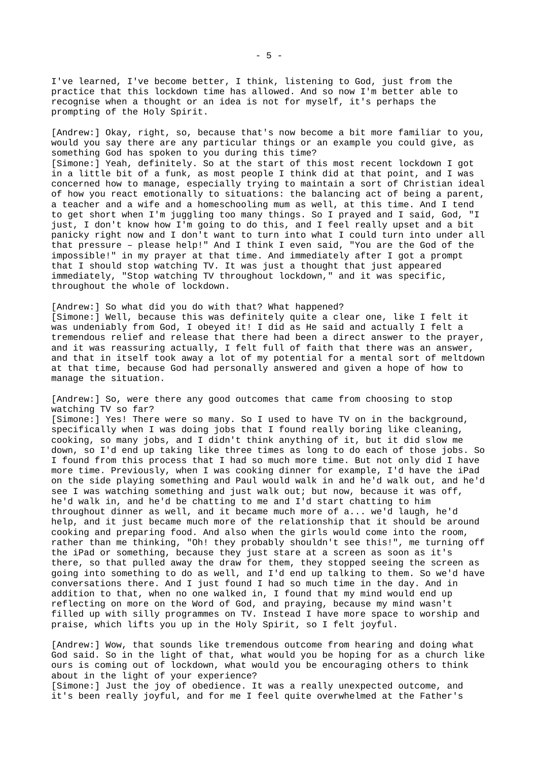I've learned, I've become better, I think, listening to God, just from the practice that this lockdown time has allowed. And so now I'm better able to recognise when a thought or an idea is not for myself, it's perhaps the prompting of the Holy Spirit.

[Andrew:] Okay, right, so, because that's now become a bit more familiar to you, would you say there are any particular things or an example you could give, as something God has spoken to you during this time? [Simone:] Yeah, definitely. So at the start of this most recent lockdown I got in a little bit of a funk, as most people I think did at that point, and I was concerned how to manage, especially trying to maintain a sort of Christian ideal of how you react emotionally to situations: the balancing act of being a parent, a teacher and a wife and a homeschooling mum as well, at this time. And I tend to get short when I'm juggling too many things. So I prayed and I said, God, "I just, I don't know how I'm going to do this, and I feel really upset and a bit panicky right now and I don't want to turn into what I could turn into under all that pressure – please help!" And I think I even said, "You are the God of the impossible!" in my prayer at that time. And immediately after I got a prompt that I should stop watching TV. It was just a thought that just appeared immediately, "Stop watching TV throughout lockdown," and it was specific, throughout the whole of lockdown.

[Andrew:] So what did you do with that? What happened? [Simone:] Well, because this was definitely quite a clear one, like I felt it was undeniably from God, I obeyed it! I did as He said and actually I felt a tremendous relief and release that there had been a direct answer to the prayer, and it was reassuring actually, I felt full of faith that there was an answer, and that in itself took away a lot of my potential for a mental sort of meltdown at that time, because God had personally answered and given a hope of how to manage the situation.

[Andrew:] So, were there any good outcomes that came from choosing to stop watching TV so far?

[Simone:] Yes! There were so many. So I used to have TV on in the background, specifically when I was doing jobs that I found really boring like cleaning, cooking, so many jobs, and I didn't think anything of it, but it did slow me down, so I'd end up taking like three times as long to do each of those jobs. So I found from this process that I had so much more time. But not only did I have more time. Previously, when I was cooking dinner for example, I'd have the iPad on the side playing something and Paul would walk in and he'd walk out, and he'd see I was watching something and just walk out; but now, because it was off, he'd walk in, and he'd be chatting to me and I'd start chatting to him throughout dinner as well, and it became much more of a... we'd laugh, he'd help, and it just became much more of the relationship that it should be around cooking and preparing food. And also when the girls would come into the room, rather than me thinking, "Oh! they probably shouldn't see this!", me turning off the iPad or something, because they just stare at a screen as soon as it's there, so that pulled away the draw for them, they stopped seeing the screen as going into something to do as well, and I'd end up talking to them. So we'd have conversations there. And I just found I had so much time in the day. And in addition to that, when no one walked in, I found that my mind would end up reflecting on more on the Word of God, and praying, because my mind wasn't filled up with silly programmes on TV. Instead I have more space to worship and praise, which lifts you up in the Holy Spirit, so I felt joyful.

[Andrew:] Wow, that sounds like tremendous outcome from hearing and doing what God said. So in the light of that, what would you be hoping for as a church like ours is coming out of lockdown, what would you be encouraging others to think about in the light of your experience? [Simone:] Just the joy of obedience. It was a really unexpected outcome, and it's been really joyful, and for me I feel quite overwhelmed at the Father's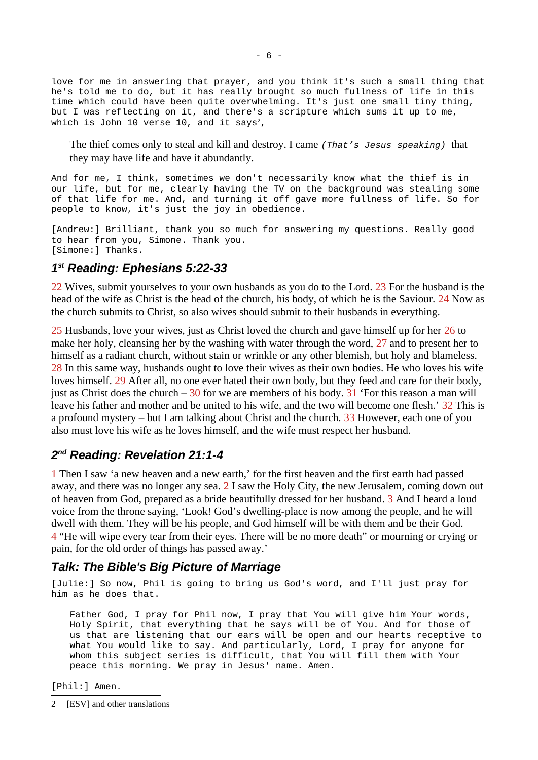love for me in answering that prayer, and you think it's such a small thing that he's told me to do, but it has really brought so much fullness of life in this time which could have been quite overwhelming. It's just one small tiny thing, but I was reflecting on it, and there's a scripture which sums it up to me, which is John 10 verse 10, and it says<sup>[2](#page-5-3)</sup>,

The thief comes only to steal and kill and destroy. I came *(That's Jesus speaking)* that they may have life and have it abundantly.

And for me, I think, sometimes we don't necessarily know what the thief is in our life, but for me, clearly having the TV on the background was stealing some of that life for me. And, and turning it off gave more fullness of life. So for people to know, it's just the joy in obedience.

[Andrew:] Brilliant, thank you so much for answering my questions. Really good to hear from you, Simone. Thank you. [Simone:] Thanks.

# <span id="page-5-2"></span>*1 st Reading: Ephesians 5:22-33*

22 Wives, submit yourselves to your own husbands as you do to the Lord. 23 For the husband is the head of the wife as Christ is the head of the church, his body, of which he is the Saviour. 24 Now as the church submits to Christ, so also wives should submit to their husbands in everything.

25 Husbands, love your wives, just as Christ loved the church and gave himself up for her 26 to make her holy, cleansing her by the washing with water through the word, 27 and to present her to himself as a radiant church, without stain or wrinkle or any other blemish, but holy and blameless. 28 In this same way, husbands ought to love their wives as their own bodies. He who loves his wife loves himself. 29 After all, no one ever hated their own body, but they feed and care for their body, just as Christ does the church  $-30$  for we are members of his body.  $31$  'For this reason a man will leave his father and mother and be united to his wife, and the two will become one flesh.' 32 This is a profound mystery – but I am talking about Christ and the church.  $33$  However, each one of you also must love his wife as he loves himself, and the wife must respect her husband.

# <span id="page-5-1"></span>*2 nd Reading: Revelation 21:1-4*

1 Then I saw 'a new heaven and a new earth,' for the first heaven and the first earth had passed away, and there was no longer any sea. 2 I saw the Holy City, the new Jerusalem, coming down out of heaven from God, prepared as a bride beautifully dressed for her husband. 3 And I heard a loud voice from the throne saying, 'Look! God's dwelling-place is now among the people, and he will dwell with them. They will be his people, and God himself will be with them and be their God. 4 "He will wipe every tear from their eyes. There will be no more death" or mourning or crying or pain, for the old order of things has passed away.'

### <span id="page-5-0"></span>*Talk: The Bible's Big Picture of Marriage*

[Julie:] So now, Phil is going to bring us God's word, and I'll just pray for him as he does that.

Father God, I pray for Phil now, I pray that You will give him Your words, Holy Spirit, that everything that he says will be of You. And for those of us that are listening that our ears will be open and our hearts receptive to what You would like to say. And particularly, Lord, I pray for anyone for whom this subject series is difficult, that You will fill them with Your peace this morning. We pray in Jesus' name. Amen.

[Phil:] Amen.

<span id="page-5-3"></span><sup>2</sup> **[ESV]** and other translations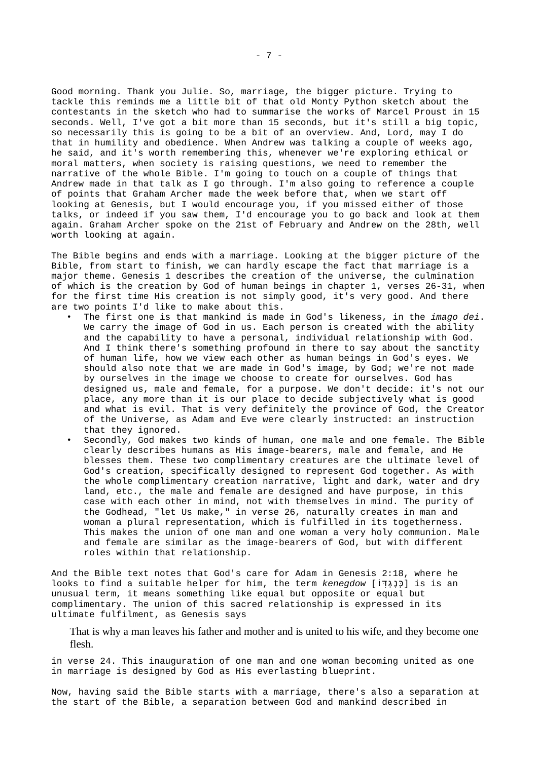Good morning. Thank you Julie. So, marriage, the bigger picture. Trying to tackle this reminds me a little bit of that old Monty Python sketch about the contestants in the sketch who had to summarise the works of Marcel Proust in 15 seconds. Well, I've got a bit more than 15 seconds, but it's still a big topic, so necessarily this is going to be a bit of an overview. And, Lord, may I do that in humility and obedience. When Andrew was talking a couple of weeks ago, he said, and it's worth remembering this, whenever we're exploring ethical or moral matters, when society is raising questions, we need to remember the narrative of the whole Bible. I'm going to touch on a couple of things that Andrew made in that talk as I go through. I'm also going to reference a couple of points that Graham Archer made the week before that, when we start off looking at Genesis, but I would encourage you, if you missed either of those talks, or indeed if you saw them, I'd encourage you to go back and look at them again. Graham Archer spoke on the 21st of February and Andrew on the 28th, well worth looking at again.

The Bible begins and ends with a marriage. Looking at the bigger picture of the Bible, from start to finish, we can hardly escape the fact that marriage is a major theme. Genesis 1 describes the creation of the universe, the culmination of which is the creation by God of human beings in chapter 1, verses 26-31, when for the first time His creation is not simply good, it's very good. And there are two points I'd like to make about this.

- The first one is that mankind is made in God's likeness, in the *imago dei*. We carry the image of God in us. Each person is created with the ability and the capability to have a personal, individual relationship with God. And I think there's something profound in there to say about the sanctity of human life, how we view each other as human beings in God's eyes. We should also note that we are made in God's image, by God; we're not made by ourselves in the image we choose to create for ourselves. God has designed us, male and female, for a purpose. We don't decide: it's not our place, any more than it is our place to decide subjectively what is good and what is evil. That is very definitely the province of God, the Creator of the Universe, as Adam and Eve were clearly instructed: an instruction that they ignored.
- Secondly, God makes two kinds of human, one male and one female. The Bible clearly describes humans as His image-bearers, male and female, and He blesses them. These two complimentary creatures are the ultimate level of God's creation, specifically designed to represent God together. As with the whole complimentary creation narrative, light and dark, water and dry land, etc., the male and female are designed and have purpose, in this case with each other in mind, not with themselves in mind. The purity of the Godhead, "let Us make," in verse 26, naturally creates in man and woman a plural representation, which is fulfilled in its togetherness. This makes the union of one man and one woman a very holy communion. Male and female are similar as the image-bearers of God, but with different roles within that relationship.

And the Bible text notes that God's care for Adam in Genesis 2:18, where he looks to find a suitable helper for him, the term *kenegdow* [כְּנָגְדְוֹ] is is an unusual term, it means something like equal but opposite or equal but complimentary. The union of this sacred relationship is expressed in its ultimate fulfilment, as Genesis says

That is why a man leaves his father and mother and is united to his wife, and they become one flesh.

in verse 24. This inauguration of one man and one woman becoming united as one in marriage is designed by God as His everlasting blueprint.

Now, having said the Bible starts with a marriage, there's also a separation at the start of the Bible, a separation between God and mankind described in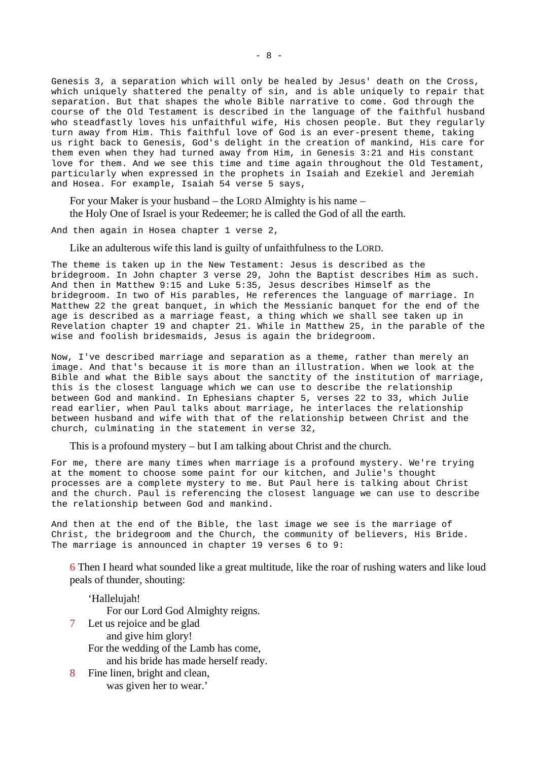Genesis 3, a separation which will only be healed by Jesus' death on the Cross, which uniquely shattered the penalty of sin, and is able uniquely to repair that separation. But that shapes the whole Bible narrative to come. God through the course of the Old Testament is described in the language of the faithful husband who steadfastly loves his unfaithful wife, His chosen people. But they regularly turn away from Him. This faithful love of God is an ever-present theme, taking us right back to Genesis, God's delight in the creation of mankind, His care for them even when they had turned away from Him, in Genesis 3:21 and His constant love for them. And we see this time and time again throughout the Old Testament, particularly when expressed in the prophets in Isaiah and Ezekiel and Jeremiah and Hosea. For example, Isaiah 54 verse 5 says,

For your Maker is your husband – the LORD Almighty is his name – the Holy One of Israel is your Redeemer; he is called the God of all the earth.

And then again in Hosea chapter 1 verse 2,

Like an adulterous wife this land is guilty of unfaithfulness to the LORD.

The theme is taken up in the New Testament: Jesus is described as the bridegroom. In John chapter 3 verse 29, John the Baptist describes Him as such. And then in Matthew 9:15 and Luke 5:35, Jesus describes Himself as the bridegroom. In two of His parables, He references the language of marriage. In Matthew 22 the great banquet, in which the Messianic banquet for the end of the age is described as a marriage feast, a thing which we shall see taken up in Revelation chapter 19 and chapter 21. While in Matthew 25, in the parable of the wise and foolish bridesmaids, Jesus is again the bridegroom.

Now, I've described marriage and separation as a theme, rather than merely an image. And that's because it is more than an illustration. When we look at the Bible and what the Bible says about the sanctity of the institution of marriage, this is the closest language which we can use to describe the relationship between God and mankind. In Ephesians chapter 5, verses 22 to 33, which Julie read earlier, when Paul talks about marriage, he interlaces the relationship between husband and wife with that of the relationship between Christ and the church, culminating in the statement in verse 32,

This is a profound mystery – but I am talking about Christ and the church.

For me, there are many times when marriage is a profound mystery. We're trying at the moment to choose some paint for our kitchen, and Julie's thought processes are a complete mystery to me. But Paul here is talking about Christ and the church. Paul is referencing the closest language we can use to describe the relationship between God and mankind.

And then at the end of the Bible, the last image we see is the marriage of Christ, the bridegroom and the Church, the community of believers, His Bride. The marriage is announced in chapter 19 verses 6 to 9:

6 Then I heard what sounded like a great multitude, like the roar of rushing waters and like loud peals of thunder, shouting:

'Hallelujah! For our Lord God Almighty reigns.

- 7 Let us rejoice and be glad
	- and give him glory!
	- For the wedding of the Lamb has come, and his bride has made herself ready.
- 8 Fine linen, bright and clean, was given her to wear.'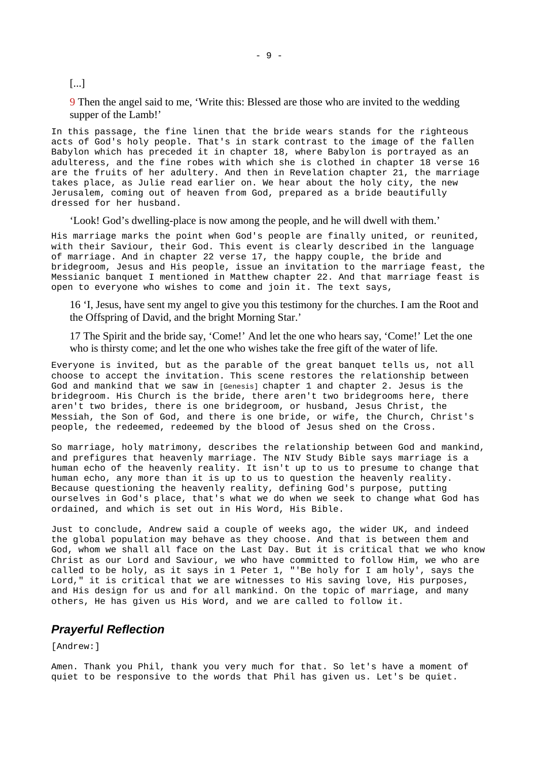[...]

9 Then the angel said to me, 'Write this: Blessed are those who are invited to the wedding supper of the Lamb!'

In this passage, the fine linen that the bride wears stands for the righteous acts of God's holy people. That's in stark contrast to the image of the fallen Babylon which has preceded it in chapter 18, where Babylon is portrayed as an adulteress, and the fine robes with which she is clothed in chapter 18 verse 16 are the fruits of her adultery. And then in Revelation chapter 21, the marriage takes place, as Julie read earlier on. We hear about the holy city, the new Jerusalem, coming out of heaven from God, prepared as a bride beautifully dressed for her husband.

'Look! God's dwelling-place is now among the people, and he will dwell with them.'

His marriage marks the point when God's people are finally united, or reunited, with their Saviour, their God. This event is clearly described in the language of marriage. And in chapter 22 verse 17, the happy couple, the bride and bridegroom, Jesus and His people, issue an invitation to the marriage feast, the Messianic banquet I mentioned in Matthew chapter 22. And that marriage feast is open to everyone who wishes to come and join it. The text says,

16 'I, Jesus, have sent my angel to give you this testimony for the churches. I am the Root and the Offspring of David, and the bright Morning Star.'

17 The Spirit and the bride say, 'Come!' And let the one who hears say, 'Come!' Let the one who is thirsty come; and let the one who wishes take the free gift of the water of life.

Everyone is invited, but as the parable of the great banquet tells us, not all choose to accept the invitation. This scene restores the relationship between God and mankind that we saw in [Genesis] chapter 1 and chapter 2. Jesus is the bridegroom. His Church is the bride, there aren't two bridegrooms here, there aren't two brides, there is one bridegroom, or husband, Jesus Christ, the Messiah, the Son of God, and there is one bride, or wife, the Church, Christ's people, the redeemed, redeemed by the blood of Jesus shed on the Cross.

So marriage, holy matrimony, describes the relationship between God and mankind, and prefigures that heavenly marriage. The NIV Study Bible says marriage is a human echo of the heavenly reality. It isn't up to us to presume to change that human echo, any more than it is up to us to question the heavenly reality. Because questioning the heavenly reality, defining God's purpose, putting ourselves in God's place, that's what we do when we seek to change what God has ordained, and which is set out in His Word, His Bible.

Just to conclude, Andrew said a couple of weeks ago, the wider UK, and indeed the global population may behave as they choose. And that is between them and God, whom we shall all face on the Last Day. But it is critical that we who know Christ as our Lord and Saviour, we who have committed to follow Him, we who are called to be holy, as it says in 1 Peter 1, "'Be holy for I am holy', says the Lord," it is critical that we are witnesses to His saving love, His purposes, and His design for us and for all mankind. On the topic of marriage, and many others, He has given us His Word, and we are called to follow it.

### <span id="page-8-0"></span>*Prayerful Reflection*

[Andrew:]

Amen. Thank you Phil, thank you very much for that. So let's have a moment of quiet to be responsive to the words that Phil has given us. Let's be quiet.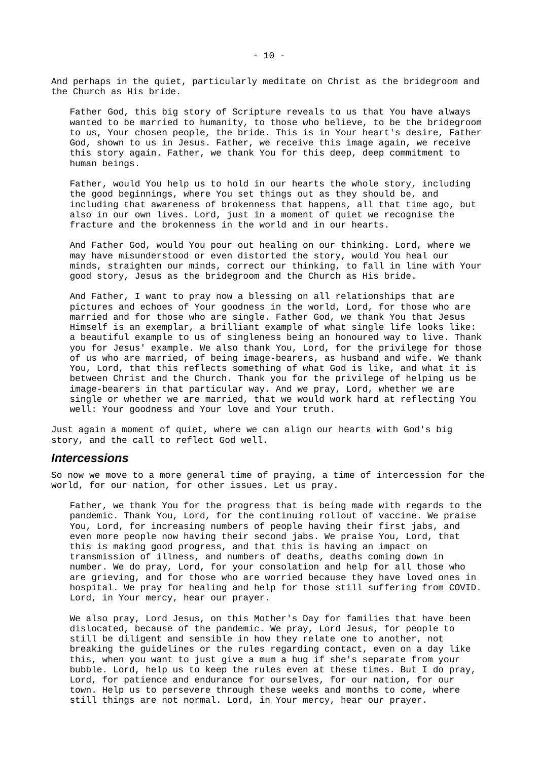And perhaps in the quiet, particularly meditate on Christ as the bridegroom and the Church as His bride.

Father God, this big story of Scripture reveals to us that You have always wanted to be married to humanity, to those who believe, to be the bridegroom to us, Your chosen people, the bride. This is in Your heart's desire, Father God, shown to us in Jesus. Father, we receive this image again, we receive this story again. Father, we thank You for this deep, deep commitment to human beings.

Father, would You help us to hold in our hearts the whole story, including the good beginnings, where You set things out as they should be, and including that awareness of brokenness that happens, all that time ago, but also in our own lives. Lord, just in a moment of quiet we recognise the fracture and the brokenness in the world and in our hearts.

And Father God, would You pour out healing on our thinking. Lord, where we may have misunderstood or even distorted the story, would You heal our minds, straighten our minds, correct our thinking, to fall in line with Your good story, Jesus as the bridegroom and the Church as His bride.

And Father, I want to pray now a blessing on all relationships that are pictures and echoes of Your goodness in the world, Lord, for those who are married and for those who are single. Father God, we thank You that Jesus Himself is an exemplar, a brilliant example of what single life looks like: a beautiful example to us of singleness being an honoured way to live. Thank you for Jesus' example. We also thank You, Lord, for the privilege for those of us who are married, of being image-bearers, as husband and wife. We thank You, Lord, that this reflects something of what God is like, and what it is between Christ and the Church. Thank you for the privilege of helping us be image-bearers in that particular way. And we pray, Lord, whether we are single or whether we are married, that we would work hard at reflecting You well: Your goodness and Your love and Your truth.

Just again a moment of quiet, where we can align our hearts with God's big story, and the call to reflect God well.

#### <span id="page-9-0"></span>*Intercessions*

So now we move to a more general time of praying, a time of intercession for the world, for our nation, for other issues. Let us pray.

Father, we thank You for the progress that is being made with regards to the pandemic. Thank You, Lord, for the continuing rollout of vaccine. We praise You, Lord, for increasing numbers of people having their first jabs, and even more people now having their second jabs. We praise You, Lord, that this is making good progress, and that this is having an impact on transmission of illness, and numbers of deaths, deaths coming down in number. We do pray, Lord, for your consolation and help for all those who are grieving, and for those who are worried because they have loved ones in hospital. We pray for healing and help for those still suffering from COVID. Lord, in Your mercy, hear our prayer.

We also pray, Lord Jesus, on this Mother's Day for families that have been dislocated, because of the pandemic. We pray, Lord Jesus, for people to still be diligent and sensible in how they relate one to another, not breaking the guidelines or the rules regarding contact, even on a day like this, when you want to just give a mum a hug if she's separate from your bubble. Lord, help us to keep the rules even at these times. But I do pray, Lord, for patience and endurance for ourselves, for our nation, for our town. Help us to persevere through these weeks and months to come, where still things are not normal. Lord, in Your mercy, hear our prayer.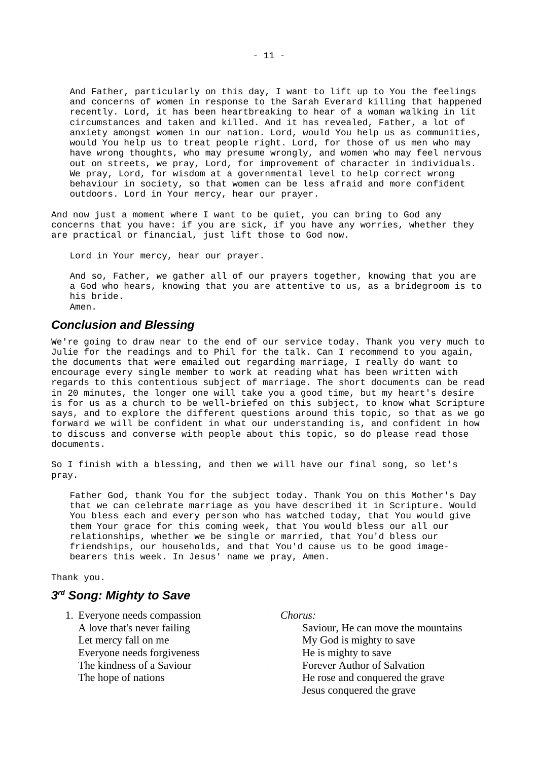And Father, particularly on this day, I want to lift up to You the feelings and concerns of women in response to the Sarah Everard killing that happened recently. Lord, it has been heartbreaking to hear of a woman walking in lit circumstances and taken and killed. And it has revealed, Father, a lot of anxiety amongst women in our nation. Lord, would You help us as communities, would You help us to treat people right. Lord, for those of us men who may have wrong thoughts, who may presume wrongly, and women who may feel nervous out on streets, we pray, Lord, for improvement of character in individuals. We pray, Lord, for wisdom at a governmental level to help correct wrong behaviour in society, so that women can be less afraid and more confident outdoors. Lord in Your mercy, hear our prayer.

And now just a moment where I want to be quiet, you can bring to God any concerns that you have: if you are sick, if you have any worries, whether they are practical or financial, just lift those to God now.

Lord in Your mercy, hear our prayer.

And so, Father, we gather all of our prayers together, knowing that you are a God who hears, knowing that you are attentive to us, as a bridegroom is to his bride. Amen.

### <span id="page-10-1"></span>*Conclusion and Blessing*

We're going to draw near to the end of our service today. Thank you very much to Julie for the readings and to Phil for the talk. Can I recommend to you again, the documents that were emailed out regarding marriage, I really do want to encourage every single member to work at reading what has been written with regards to this contentious subject of marriage. The short documents can be read in 20 minutes, the longer one will take you a good time, but my heart's desire is for us as a church to be well-briefed on this subject, to know what Scripture says, and to explore the different questions around this topic, so that as we go forward we will be confident in what our understanding is, and confident in how to discuss and converse with people about this topic, so do please read those documents.

So I finish with a blessing, and then we will have our final song, so let's pray.

Father God, thank You for the subject today. Thank You on this Mother's Day that we can celebrate marriage as you have described it in Scripture. Would You bless each and every person who has watched today, that You would give them Your grace for this coming week, that You would bless our all our relationships, whether we be single or married, that You'd bless our friendships, our households, and that You'd cause us to be good imagebearers this week. In Jesus' name we pray, Amen.

#### Thank you.

# <span id="page-10-0"></span>*3 rd Song: Mighty to Save*

1. Everyone needs compassion A love that's never failing Let mercy fall on me Everyone needs forgiveness The kindness of a Saviour The hope of nations

#### *Chorus:*

Saviour, He can move the mountains My God is mighty to save He is mighty to save Forever Author of Salvation He rose and conquered the grave Jesus conquered the grave